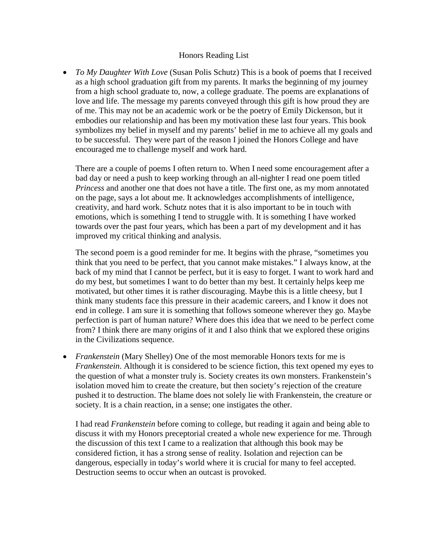## Honors Reading List

• *To My Daughter With Love* (Susan Polis Schutz) This is a book of poems that I received as a high school graduation gift from my parents. It marks the beginning of my journey from a high school graduate to, now, a college graduate. The poems are explanations of love and life. The message my parents conveyed through this gift is how proud they are of me. This may not be an academic work or be the poetry of Emily Dickenson, but it embodies our relationship and has been my motivation these last four years. This book symbolizes my belief in myself and my parents' belief in me to achieve all my goals and to be successful. They were part of the reason I joined the Honors College and have encouraged me to challenge myself and work hard.

There are a couple of poems I often return to. When I need some encouragement after a bad day or need a push to keep working through an all-nighter I read one poem titled *Princess* and another one that does not have a title. The first one, as my mom annotated on the page, says a lot about me. It acknowledges accomplishments of intelligence, creativity, and hard work. Schutz notes that it is also important to be in touch with emotions, which is something I tend to struggle with. It is something I have worked towards over the past four years, which has been a part of my development and it has improved my critical thinking and analysis.

The second poem is a good reminder for me. It begins with the phrase, "sometimes you think that you need to be perfect, that you cannot make mistakes." I always know, at the back of my mind that I cannot be perfect, but it is easy to forget. I want to work hard and do my best, but sometimes I want to do better than my best. It certainly helps keep me motivated, but other times it is rather discouraging. Maybe this is a little cheesy, but I think many students face this pressure in their academic careers, and I know it does not end in college. I am sure it is something that follows someone wherever they go. Maybe perfection is part of human nature? Where does this idea that we need to be perfect come from? I think there are many origins of it and I also think that we explored these origins in the Civilizations sequence.

• *Frankenstein* (Mary Shelley) One of the most memorable Honors texts for me is *Frankenstein*. Although it is considered to be science fiction, this text opened my eyes to the question of what a monster truly is. Society creates its own monsters. Frankenstein's isolation moved him to create the creature, but then society's rejection of the creature pushed it to destruction. The blame does not solely lie with Frankenstein, the creature or society. It is a chain reaction, in a sense; one instigates the other.

I had read *Frankenstein* before coming to college, but reading it again and being able to discuss it with my Honors preceptorial created a whole new experience for me. Through the discussion of this text I came to a realization that although this book may be considered fiction, it has a strong sense of reality. Isolation and rejection can be dangerous, especially in today's world where it is crucial for many to feel accepted. Destruction seems to occur when an outcast is provoked.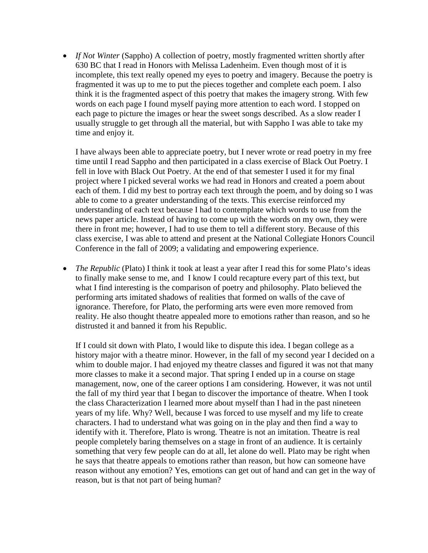• *If Not Winter* (Sappho) A collection of poetry, mostly fragmented written shortly after 630 BC that I read in Honors with Melissa Ladenheim. Even though most of it is incomplete, this text really opened my eyes to poetry and imagery. Because the poetry is fragmented it was up to me to put the pieces together and complete each poem. I also think it is the fragmented aspect of this poetry that makes the imagery strong. With few words on each page I found myself paying more attention to each word. I stopped on each page to picture the images or hear the sweet songs described. As a slow reader I usually struggle to get through all the material, but with Sappho I was able to take my time and enjoy it.

I have always been able to appreciate poetry, but I never wrote or read poetry in my free time until I read Sappho and then participated in a class exercise of Black Out Poetry. I fell in love with Black Out Poetry. At the end of that semester I used it for my final project where I picked several works we had read in Honors and created a poem about each of them. I did my best to portray each text through the poem, and by doing so I was able to come to a greater understanding of the texts. This exercise reinforced my understanding of each text because I had to contemplate which words to use from the news paper article. Instead of having to come up with the words on my own, they were there in front me; however, I had to use them to tell a different story. Because of this class exercise, I was able to attend and present at the National Collegiate Honors Council Conference in the fall of 2009; a validating and empowering experience.

• *The Republic* (Plato) I think it took at least a year after I read this for some Plato's ideas to finally make sense to me, and I know I could recapture every part of this text, but what I find interesting is the comparison of poetry and philosophy. Plato believed the performing arts imitated shadows of realities that formed on walls of the cave of ignorance. Therefore, for Plato, the performing arts were even more removed from reality. He also thought theatre appealed more to emotions rather than reason, and so he distrusted it and banned it from his Republic.

If I could sit down with Plato, I would like to dispute this idea. I began college as a history major with a theatre minor. However, in the fall of my second year I decided on a whim to double major. I had enjoyed my theatre classes and figured it was not that many more classes to make it a second major. That spring I ended up in a course on stage management, now, one of the career options I am considering. However, it was not until the fall of my third year that I began to discover the importance of theatre. When I took the class Characterization I learned more about myself than I had in the past nineteen years of my life. Why? Well, because I was forced to use myself and my life to create characters. I had to understand what was going on in the play and then find a way to identify with it. Therefore, Plato is wrong. Theatre is not an imitation. Theatre is real people completely baring themselves on a stage in front of an audience. It is certainly something that very few people can do at all, let alone do well. Plato may be right when he says that theatre appeals to emotions rather than reason, but how can someone have reason without any emotion? Yes, emotions can get out of hand and can get in the way of reason, but is that not part of being human?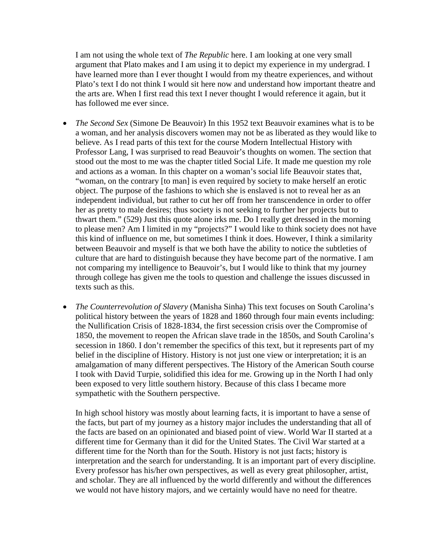I am not using the whole text of *The Republic* here. I am looking at one very small argument that Plato makes and I am using it to depict my experience in my undergrad. I have learned more than I ever thought I would from my theatre experiences, and without Plato's text I do not think I would sit here now and understand how important theatre and the arts are. When I first read this text I never thought I would reference it again, but it has followed me ever since.

- *The Second Sex* (Simone De Beauvoir) In this 1952 text Beauvoir examines what is to be a woman, and her analysis discovers women may not be as liberated as they would like to believe. As I read parts of this text for the course Modern Intellectual History with Professor Lang, I was surprised to read Beauvoir's thoughts on women. The section that stood out the most to me was the chapter titled Social Life. It made me question my role and actions as a woman. In this chapter on a woman's social life Beauvoir states that, "woman, on the contrary [to man] is even required by society to make herself an erotic object. The purpose of the fashions to which she is enslaved is not to reveal her as an independent individual, but rather to cut her off from her transcendence in order to offer her as pretty to male desires; thus society is not seeking to further her projects but to thwart them." (529) Just this quote alone irks me. Do I really get dressed in the morning to please men? Am I limited in my "projects?" I would like to think society does not have this kind of influence on me, but sometimes I think it does. However, I think a similarity between Beauvoir and myself is that we both have the ability to notice the subtleties of culture that are hard to distinguish because they have become part of the normative. I am not comparing my intelligence to Beauvoir's, but I would like to think that my journey through college has given me the tools to question and challenge the issues discussed in texts such as this.
- *The Counterrevolution of Slavery* (Manisha Sinha) This text focuses on South Carolina's political history between the years of 1828 and 1860 through four main events including: the Nullification Crisis of 1828-1834, the first secession crisis over the Compromise of 1850, the movement to reopen the African slave trade in the 1850s, and South Carolina's secession in 1860. I don't remember the specifics of this text, but it represents part of my belief in the discipline of History. History is not just one view or interpretation; it is an amalgamation of many different perspectives. The History of the American South course I took with David Turpie, solidified this idea for me. Growing up in the North I had only been exposed to very little southern history. Because of this class I became more sympathetic with the Southern perspective.

In high school history was mostly about learning facts, it is important to have a sense of the facts, but part of my journey as a history major includes the understanding that all of the facts are based on an opinionated and biased point of view. World War II started at a different time for Germany than it did for the United States. The Civil War started at a different time for the North than for the South. History is not just facts; history is interpretation and the search for understanding. It is an important part of every discipline. Every professor has his/her own perspectives, as well as every great philosopher, artist, and scholar. They are all influenced by the world differently and without the differences we would not have history majors, and we certainly would have no need for theatre.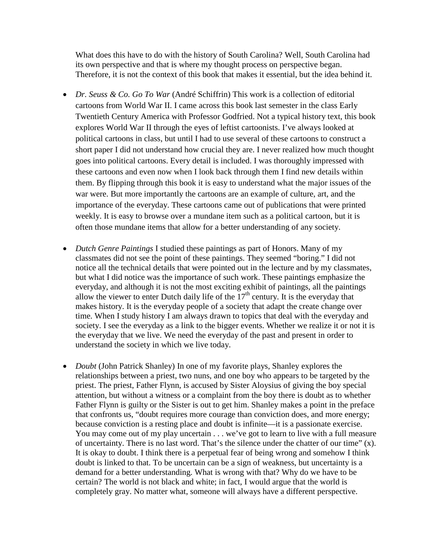What does this have to do with the history of South Carolina? Well, South Carolina had its own perspective and that is where my thought process on perspective began. Therefore, it is not the context of this book that makes it essential, but the idea behind it.

- *Dr. Seuss & Co. Go To War* (André Schiffrin) This work is a collection of editorial cartoons from World War II. I came across this book last semester in the class Early Twentieth Century America with Professor Godfried. Not a typical history text, this book explores World War II through the eyes of leftist cartoonists. I've always looked at political cartoons in class, but until I had to use several of these cartoons to construct a short paper I did not understand how crucial they are. I never realized how much thought goes into political cartoons. Every detail is included. I was thoroughly impressed with these cartoons and even now when I look back through them I find new details within them. By flipping through this book it is easy to understand what the major issues of the war were. But more importantly the cartoons are an example of culture, art, and the importance of the everyday. These cartoons came out of publications that were printed weekly. It is easy to browse over a mundane item such as a political cartoon, but it is often those mundane items that allow for a better understanding of any society.
- *Dutch Genre Paintings* I studied these paintings as part of Honors. Many of my classmates did not see the point of these paintings. They seemed "boring." I did not notice all the technical details that were pointed out in the lecture and by my classmates, but what I did notice was the importance of such work. These paintings emphasize the everyday, and although it is not the most exciting exhibit of paintings, all the paintings allow the viewer to enter Dutch daily life of the  $17<sup>th</sup>$  century. It is the everyday that makes history. It is the everyday people of a society that adapt the create change over time. When I study history I am always drawn to topics that deal with the everyday and society. I see the everyday as a link to the bigger events. Whether we realize it or not it is the everyday that we live. We need the everyday of the past and present in order to understand the society in which we live today.
- *Doubt* (John Patrick Shanley) In one of my favorite plays, Shanley explores the relationships between a priest, two nuns, and one boy who appears to be targeted by the priest. The priest, Father Flynn, is accused by Sister Aloysius of giving the boy special attention, but without a witness or a complaint from the boy there is doubt as to whether Father Flynn is guilty or the Sister is out to get him. Shanley makes a point in the preface that confronts us, "doubt requires more courage than conviction does, and more energy; because conviction is a resting place and doubt is infinite—it is a passionate exercise. You may come out of my play uncertain . . . we've got to learn to live with a full measure of uncertainty. There is no last word. That's the silence under the chatter of our time" (x). It is okay to doubt. I think there is a perpetual fear of being wrong and somehow I think doubt is linked to that. To be uncertain can be a sign of weakness, but uncertainty is a demand for a better understanding. What is wrong with that? Why do we have to be certain? The world is not black and white; in fact, I would argue that the world is completely gray. No matter what, someone will always have a different perspective.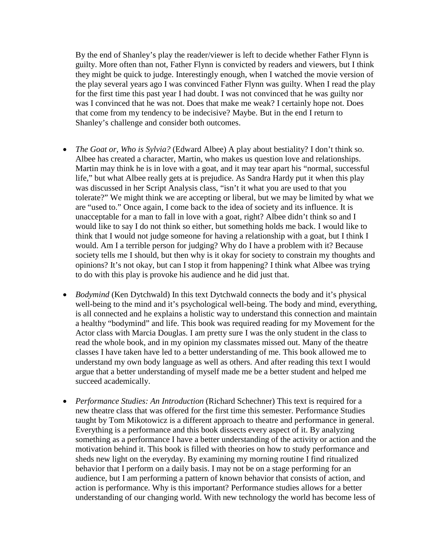By the end of Shanley's play the reader/viewer is left to decide whether Father Flynn is guilty. More often than not, Father Flynn is convicted by readers and viewers, but I think they might be quick to judge. Interestingly enough, when I watched the movie version of the play several years ago I was convinced Father Flynn was guilty. When I read the play for the first time this past year I had doubt. I was not convinced that he was guilty nor was I convinced that he was not. Does that make me weak? I certainly hope not. Does that come from my tendency to be indecisive? Maybe. But in the end I return to Shanley's challenge and consider both outcomes.

- *The Goat or, Who is Sylvia?* (Edward Albee) A play about bestiality? I don't think so. Albee has created a character, Martin, who makes us question love and relationships. Martin may think he is in love with a goat, and it may tear apart his "normal, successful life," but what Albee really gets at is prejudice. As Sandra Hardy put it when this play was discussed in her Script Analysis class, "isn't it what you are used to that you tolerate?" We might think we are accepting or liberal, but we may be limited by what we are "used to." Once again, I come back to the idea of society and its influence. It is unacceptable for a man to fall in love with a goat, right? Albee didn't think so and I would like to say I do not think so either, but something holds me back. I would like to think that I would not judge someone for having a relationship with a goat, but I think I would. Am I a terrible person for judging? Why do I have a problem with it? Because society tells me I should, but then why is it okay for society to constrain my thoughts and opinions? It's not okay, but can I stop it from happening? I think what Albee was trying to do with this play is provoke his audience and he did just that.
- *Bodymind* (Ken Dytchwald) In this text Dytchwald connects the body and it's physical well-being to the mind and it's psychological well-being. The body and mind, everything, is all connected and he explains a holistic way to understand this connection and maintain a healthy "bodymind" and life. This book was required reading for my Movement for the Actor class with Marcia Douglas. I am pretty sure I was the only student in the class to read the whole book, and in my opinion my classmates missed out. Many of the theatre classes I have taken have led to a better understanding of me. This book allowed me to understand my own body language as well as others. And after reading this text I would argue that a better understanding of myself made me be a better student and helped me succeed academically.
- *Performance Studies: An Introduction* (Richard Schechner) This text is required for a new theatre class that was offered for the first time this semester. Performance Studies taught by Tom Mikotowicz is a different approach to theatre and performance in general. Everything is a performance and this book dissects every aspect of it. By analyzing something as a performance I have a better understanding of the activity or action and the motivation behind it. This book is filled with theories on how to study performance and sheds new light on the everyday. By examining my morning routine I find ritualized behavior that I perform on a daily basis. I may not be on a stage performing for an audience, but I am performing a pattern of known behavior that consists of action, and action is performance. Why is this important? Performance studies allows for a better understanding of our changing world. With new technology the world has become less of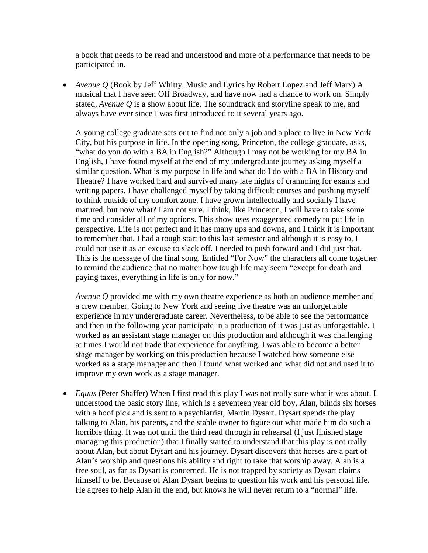a book that needs to be read and understood and more of a performance that needs to be participated in.

• *Avenue Q* (Book by Jeff Whitty, Music and Lyrics by Robert Lopez and Jeff Marx) A musical that I have seen Off Broadway, and have now had a chance to work on. Simply stated, *Avenue Q* is a show about life. The soundtrack and storyline speak to me, and always have ever since I was first introduced to it several years ago.

A young college graduate sets out to find not only a job and a place to live in New York City, but his purpose in life. In the opening song, Princeton, the college graduate, asks, "what do you do with a BA in English?" Although I may not be working for my BA in English, I have found myself at the end of my undergraduate journey asking myself a similar question. What is my purpose in life and what do I do with a BA in History and Theatre? I have worked hard and survived many late nights of cramming for exams and writing papers. I have challenged myself by taking difficult courses and pushing myself to think outside of my comfort zone. I have grown intellectually and socially I have matured, but now what? I am not sure. I think, like Princeton, I will have to take some time and consider all of my options. This show uses exaggerated comedy to put life in perspective. Life is not perfect and it has many ups and downs, and I think it is important to remember that. I had a tough start to this last semester and although it is easy to, I could not use it as an excuse to slack off. I needed to push forward and I did just that. This is the message of the final song. Entitled "For Now" the characters all come together to remind the audience that no matter how tough life may seem "except for death and paying taxes, everything in life is only for now."

*Avenue Q* provided me with my own theatre experience as both an audience member and a crew member. Going to New York and seeing live theatre was an unforgettable experience in my undergraduate career. Nevertheless, to be able to see the performance and then in the following year participate in a production of it was just as unforgettable. I worked as an assistant stage manager on this production and although it was challenging at times I would not trade that experience for anything. I was able to become a better stage manager by working on this production because I watched how someone else worked as a stage manager and then I found what worked and what did not and used it to improve my own work as a stage manager.

• *Equus* (Peter Shaffer) When I first read this play I was not really sure what it was about. I understood the basic story line, which is a seventeen year old boy, Alan, blinds six horses with a hoof pick and is sent to a psychiatrist, Martin Dysart. Dysart spends the play talking to Alan, his parents, and the stable owner to figure out what made him do such a horrible thing. It was not until the third read through in rehearsal (I just finished stage managing this production) that I finally started to understand that this play is not really about Alan, but about Dysart and his journey. Dysart discovers that horses are a part of Alan's worship and questions his ability and right to take that worship away. Alan is a free soul, as far as Dysart is concerned. He is not trapped by society as Dysart claims himself to be. Because of Alan Dysart begins to question his work and his personal life. He agrees to help Alan in the end, but knows he will never return to a "normal" life.